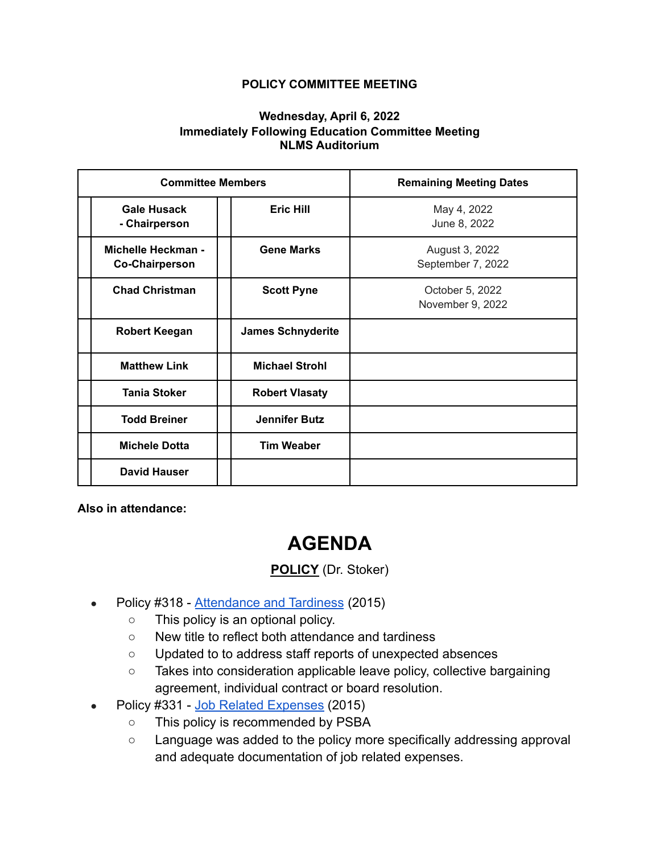## **POLICY COMMITTEE MEETING**

## **Wednesday, April 6, 2022 Immediately Following Education Committee Meeting NLMS Auditorium**

| <b>Committee Members</b>                           |                          | <b>Remaining Meeting Dates</b>      |
|----------------------------------------------------|--------------------------|-------------------------------------|
| <b>Gale Husack</b><br>- Chairperson                | <b>Eric Hill</b>         | May 4, 2022<br>June 8, 2022         |
| <b>Michelle Heckman -</b><br><b>Co-Chairperson</b> | <b>Gene Marks</b>        | August 3, 2022<br>September 7, 2022 |
| <b>Chad Christman</b>                              | <b>Scott Pyne</b>        | October 5, 2022<br>November 9, 2022 |
| <b>Robert Keegan</b>                               | <b>James Schnyderite</b> |                                     |
| <b>Matthew Link</b>                                | <b>Michael Strohl</b>    |                                     |
| <b>Tania Stoker</b>                                | <b>Robert Vlasaty</b>    |                                     |
| <b>Todd Breiner</b>                                | <b>Jennifer Butz</b>     |                                     |
| <b>Michele Dotta</b>                               | <b>Tim Weaber</b>        |                                     |
| <b>David Hauser</b>                                |                          |                                     |

**Also in attendance:**

## **AGENDA**

**POLICY** (Dr. Stoker)

- Policy #318 [Attendance and Tardiness](https://drive.google.com/file/d/1rWIxVQCf0STThfhrxdotbwQhlgQTUS3U/view?usp=sharing) (2015)
	- This policy is an optional policy.
	- New title to reflect both attendance and tardiness
	- Updated to to address staff reports of unexpected absences
	- Takes into consideration applicable leave policy, collective bargaining agreement, individual contract or board resolution.
- Policy #331 [Job Related Expenses](https://drive.google.com/file/d/1iNokV8LnKTmloKY24tpcdsKdJyaYpvRR/view?usp=sharing) (2015)
	- This policy is recommended by PSBA
	- Language was added to the policy more specifically addressing approval and adequate documentation of job related expenses.